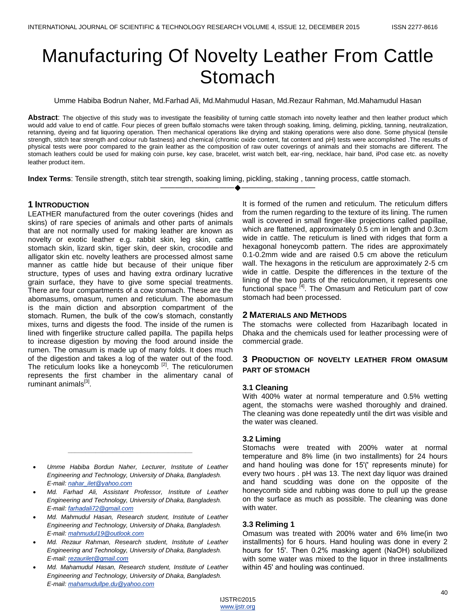# Manufacturing Of Novelty Leather From Cattle **Stomach**

Umme Habiba Bodrun Naher, Md.Farhad Ali, Md.Mahmudul Hasan, Md.Rezaur Rahman, Md.Mahamudul Hasan

**Abstract**: The objective of this study was to investigate the feasibility of turning cattle stomach into novelty leather and then leather product which would add value to end of cattle. Four pieces of green buffalo stomachs were taken through soaking, liming, deliming, pickling, tanning, neutralization, retanning, dyeing and fat liquoring operation. Then mechanical operations like drying and staking operations were also done. Some physical (tensile strength, stitch tear strength and colour rub fastness) and chemical (chromic oxide content, fat content and pH) tests were accomplished .The results of physical tests were poor compared to the grain leather as the composition of raw outer coverings of animals and their stomachs are different. The stomach leathers could be used for making coin purse, key case, bracelet, wrist watch belt, ear-ring, necklace, hair band, iPod case etc. as novelty leather product item.

————————————————————

**Index Terms**: Tensile strength, stitch tear strength, soaking liming, pickling, staking , tanning process, cattle stomach.

# **1 INTRODUCTION**

LEATHER manufactured from the outer coverings (hides and skins) of rare species of animals and other parts of animals that are not normally used for making leather are known as novelty or exotic leather e.g. rabbit skin, leg skin, cattle stomach skin, lizard skin, tiger skin, deer skin, crocodile and alligator skin etc. novelty leathers are processed almost same manner as cattle hide but because of their unique fiber structure, types of uses and having extra ordinary lucrative grain surface, they have to give some special treatments. There are four compartments of a cow stomach. These are the abomasums, omasum, rumen and reticulum. The abomasum is the main diction and absorption compartment of the stomach. Rumen, the bulk of the cow's stomach, constantly mixes, turns and digests the food. The inside of the rumen is lined with fingerlike structure called papilla. The papilla helps to increase digestion by moving the food around inside the rumen. The omasum is made up of many folds. It does much of the digestion and takes a log of the water out of the food. The reticulum looks like a honeycomb  $[2]$ . The reticulorumen represents the first chamber in the alimentary canal of ruminant animals<sup>[3]</sup>.

 *Umme Habiba Bordun Naher, Lecturer, Institute of Leather Engineering and Technology, University of Dhaka, Bangladesh. E-mail[: nahar\\_ilet@yahoo.com](mailto:nahar_ilet@yahoo.com)*

*\_\_\_\_\_\_\_\_\_\_\_\_\_\_\_\_\_\_\_\_\_\_\_\_\_\_\_\_\_\_\_\_\_\_\_\_*

- *Md. Farhad Ali, Assistant Professor, Institute of Leather Engineering and Technology, University of Dhaka, Bangladesh. E-mail[: farhadali72@gmail.com](mailto:farhadali72@gmail.com)*
- *Md. Mahmudul Hasan, Research student, Institute of Leather Engineering and Technology, University of Dhaka, Bangladesh. E-mail[: mahmudul19@outlook.com](mailto:mahmudul19@outlook.com)*
- *Md. Rezaur Rahman, Research student, Institute of Leather Engineering and Technology, University of Dhaka, Bangladesh. E-mail[: rezaurilet@gmail.com](mailto:rezaurilet@gmail.com)*
- *Md. Mahamudul Hasan, Research student, Institute of Leather Engineering and Technology, University of Dhaka, Bangladesh. E-mail[: mahamudullpe.du@yahoo.com](mailto:mahamudullpe.du@yahoo.com)*

It is formed of the rumen and reticulum. The reticulum differs from the rumen regarding to the texture of its lining. The rumen wall is covered in small finger-like projections called papillae, which are flattened, approximately 0.5 cm in length and 0.3cm wide in cattle. The reticulum is lined with ridges that form a hexagonal honeycomb pattern. The rides are approximately 0.1-0.2mm wide and are raised 0.5 cm above the reticulum wall. The hexagons in the reticulum are approximately 2-5 cm wide in cattle. Despite the differences in the texture of the lining of the two parts of the reticulorumen, it represents one functional space <sup>[4]</sup>. The Omasum and Reticulum part of cow stomach had been processed.

# **2 MATERIALS AND METHODS**

The stomachs were collected from Hazaribagh located in Dhaka and the chemicals used for leather processing were of commercial grade.

# **3 PRODUCTION OF NOVELTY LEATHER FROM OMASUM PART OF STOMACH**

#### **3.1 Cleaning**

With 400% water at normal temperature and 0.5% wetting agent, the stomachs were washed thoroughly and drained. The cleaning was done repeatedly until the dirt was visible and the water was cleaned.

#### **3.2 Liming**

Stomachs were treated with 200% water at normal temperature and 8% lime (in two installments) for 24 hours and hand houling was done for 15ʹ(ʹ represents minute) for every two hours . pH was 13. The next day liquor was drained and hand scudding was done on the opposite of the honeycomb side and rubbing was done to pull up the grease on the surface as much as possible. The cleaning was done with water.

#### **3.3 Reliming 1**

Omasum was treated with 200% water and 6% lime(in two installments) for 6 hours. Hand houling was done in every 2 hours for 15ʹ. Then 0.2% masking agent (NaOH) solubilized with some water was mixed to the liquor in three installments within 45ʹ and houling was continued.

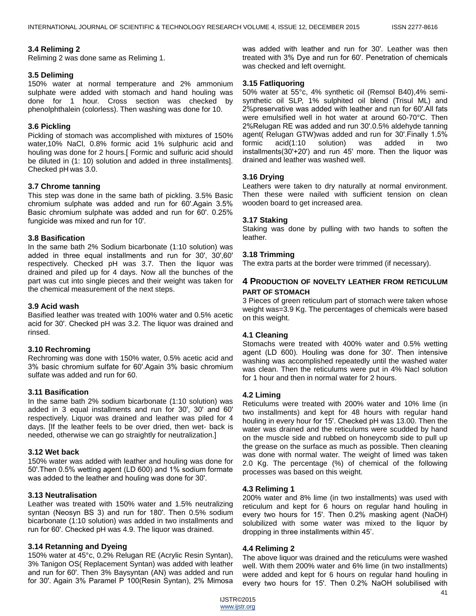# **3.4 Reliming 2**

Reliming 2 was done same as Reliming 1.

## **3.5 Deliming**

150% water at normal temperature and 2% ammonium sulphate were added with stomach and hand houling was done for 1 hour. Cross section was checked by phenolphthalein (colorless). Then washing was done for 10.

# **3.6 Pickling**

Pickling of stomach was accomplished with mixtures of 150% water,10% NaCl, 0.8% formic acid 1% sulphuric acid and houling was done for 2 hours.[ Formic and sulfuric acid should be diluted in (1: 10) solution and added in three installments]. Checked pH was 3.0.

# **3.7 Chrome tanning**

This step was done in the same bath of pickling. 3.5% Basic chromium sulphate was added and run for 60ʹ.Again 3.5% Basic chromium sulphate was added and run for 60ʹ. 0.25% fungicide was mixed and run for 10ʹ.

#### **3.8 Basification**

In the same bath 2% Sodium bicarbonate (1:10 solution) was added in three equal installments and run for 30ʹ, 30ʹ,60ʹ respectively. Checked pH was 3.7. Then the liquor was drained and piled up for 4 days. Now all the bunches of the part was cut into single pieces and their weight was taken for the chemical measurement of the next steps.

# **3.9 Acid wash**

Basified leather was treated with 100% water and 0.5% acetic acid for 30ʹ. Checked pH was 3.2. The liquor was drained and rinsed.

#### **3.10 Rechroming**

Rechroming was done with 150% water, 0.5% acetic acid and 3% basic chromium sulfate for 60ʹ.Again 3% basic chromium sulfate was added and run for 60.

#### **3.11 Basification**

In the same bath 2% sodium bicarbonate (1:10 solution) was added in 3 equal installments and run for 30ʹ, 30ʹ and 60ʹ respectively. Liquor was drained and leather was piled for 4 days. [If the leather feels to be over dried, then wet- back is needed, otherwise we can go straightly for neutralization.]

#### **3.12 Wet back**

150% water was added with leather and houling was done for 50ʹ.Then 0.5% wetting agent (LD 600) and 1% sodium formate was added to the leather and houling was done for 30ʹ.

#### **3.13 Neutralisation**

Leather was treated with 150% water and 1.5% neutralizing syntan (Neosyn BS 3) and run for 180ʹ. Then 0.5% sodium bicarbonate (1:10 solution) was added in two installments and run for 60ʹ. Checked pH was 4.9. The liquor was drained.

# **3.14 Retanning and Dyeing**

150% water at 45°c, 0.2% Relugan RE (Acrylic Resin Syntan), 3% Tanigon OS( Replacement Syntan) was added with leather and run for 60ʹ. Then 3% Baysyntan (AN) was added and run for 30ʹ. Again 3% Paramel P 100(Resin Syntan), 2% Mimosa

was added with leather and run for 30ʹ. Leather was then treated with 3% Dye and run for 60ʹ. Penetration of chemicals was checked and left overnight.

# **3.15 Fatliquoring**

50% water at 55°c, 4% synthetic oil (Remsol B40),4% semisynthetic oil SLP, 1% sulphited oil blend (Trisul ML) and 2%preservative was added with leather and run for 60ʹ.All fats were emulsified well in hot water at around 60-70°C. Then 2%Relugan RE was added and run 30ʹ.0.5% aldehyde tanning agent( Relugan GTW)was added and run for 30ʹ.Finally 1.5% formic acid(1:10 solution) was added in two installments(30'+20') and run  $45'$  more. Then the liquor was drained and leather was washed well.

# **3.16 Drying**

Leathers were taken to dry naturally at normal environment. Then these were nailed with sufficient tension on clean wooden board to get increased area.

# **3.17 Staking**

Staking was done by pulling with two hands to soften the leather.

#### **3.18 Trimming**

The extra parts at the border were trimmed (if necessary).

# **4 PRODUCTION OF NOVELTY LEATHER FROM RETICULUM PART OF STOMACH**

3 Pieces of green reticulum part of stomach were taken whose weight was=3.9 Kg. The percentages of chemicals were based on this weight.

#### **4.1 Cleaning**

Stomachs were treated with 400% water and 0.5% wetting agent (LD 600). Houling was done for 30ʹ. Then intensive washing was accomplished repeatedly until the washed water was clean. Then the reticulums were put in 4% Nacl solution for 1 hour and then in normal water for 2 hours.

#### **4.2 Liming**

Reticulums were treated with 200% water and 10% lime (in two installments) and kept for 48 hours with regular hand houling in every hour for 15ʹ. Checked pH was 13.00. Then the water was drained and the reticulums were scudded by hand on the muscle side and rubbed on honeycomb side to pull up the grease on the surface as much as possible. Then cleaning was done with normal water. The weight of limed was taken 2.0 Kg. The percentage (%) of chemical of the following processes was based on this weight.

#### **4.3 Reliming 1**

200% water and 8% lime (in two installments) was used with reticulum and kept for 6 hours on regular hand houling in every two hours for 15ʹ. Then 0.2% masking agent (NaOH) solubilized with some water was mixed to the liquor by dropping in three installments within 45'.

#### **4.4 Reliming 2**

The above liquor was drained and the reticulums were washed well. With them 200% water and 6% lime (in two installments) were added and kept for 6 hours on regular hand houling in every two hours for 15ʹ. Then 0.2% NaOH solubilised with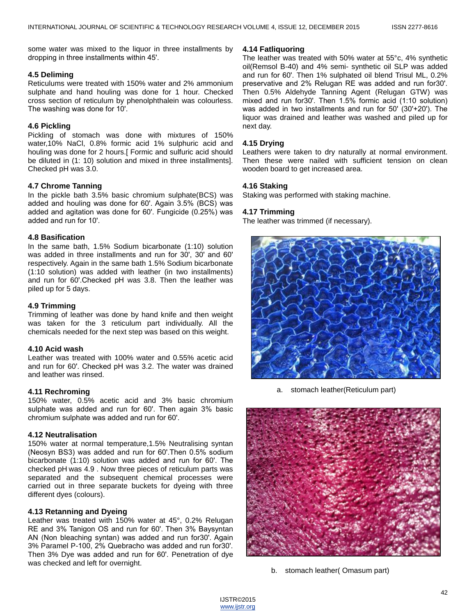some water was mixed to the liquor in three installments by dropping in three installments within 45ʹ.

## **4.5 Deliming**

Reticulums were treated with 150% water and 2% ammonium sulphate and hand houling was done for 1 hour. Checked cross section of reticulum by phenolphthalein was colourless. The washing was done for 10ʹ.

## **4.6 Pickling**

Pickling of stomach was done with mixtures of 150% water,10% NaCl, 0.8% formic acid 1% sulphuric acid and houling was done for 2 hours. [Formic and sulfuric acid should be diluted in (1: 10) solution and mixed in three installments]. Checked pH was 3.0.

# **4.7 Chrome Tanning**

In the pickle bath 3.5% basic chromium sulphate(BCS) was added and houling was done for 60ʹ. Again 3.5% (BCS) was added and agitation was done for 60ʹ. Fungicide (0.25%) was added and run for 10ʹ.

#### **4.8 Basification**

In the same bath, 1.5% Sodium bicarbonate (1:10) solution was added in three installments and run for 30ʹ, 30ʹ and 60ʹ respectively. Again in the same bath 1.5% Sodium bicarbonate (1:10 solution) was added with leather (in two installments) and run for 60ʹ.Checked pH was 3.8. Then the leather was piled up for 5 days.

#### **4.9 Trimming**

Trimming of leather was done by hand knife and then weight was taken for the 3 reticulum part individually. All the chemicals needed for the next step was based on this weight.

#### **4.10 Acid wash**

Leather was treated with 100% water and 0.55% acetic acid and run for 60ʹ. Checked pH was 3.2. The water was drained and leather was rinsed.

#### **4.11 Rechroming**

150% water, 0.5% acetic acid and 3% basic chromium sulphate was added and run for 60ʹ. Then again 3% basic chromium sulphate was added and run for 60ʹ.

#### **4.12 Neutralisation**

150% water at normal temperature,1.5% Neutralising syntan (Neosyn BS3) was added and run for 60ʹ.Then 0.5% sodium bicarbonate (1:10) solution was added and run for 60ʹ. The checked pH was 4.9 . Now three pieces of reticulum parts was separated and the subsequent chemical processes were carried out in three separate buckets for dyeing with three different dyes (colours).

#### **4.13 Retanning and Dyeing**

Leather was treated with 150% water at 45°, 0.2% Relugan RE and 3% Tanigon OS and run for 60ʹ. Then 3% Baysyntan AN (Non bleaching syntan) was added and run for30ʹ. Again 3% Paramel P-100, 2% Quebracho was added and run for30ʹ. Then 3% Dye was added and run for 60ʹ. Penetration of dye was checked and left for overnight.

#### **4.14 Fatliquoring**

The leather was treated with 50% water at 55°c, 4% synthetic oil(Remsol B-40) and 4% semi- synthetic oil SLP was added and run for 60ʹ. Then 1% sulphated oil blend Trisul ML, 0.2% preservative and 2% Relugan RE was added and run for30ʹ. Then 0.5% Aldehyde Tanning Agent (Relugan GTW) was mixed and run for30ʹ. Then 1.5% formic acid (1:10 solution) was added in two installments and run for 50ʹ (30ʹ+20ʹ). The liquor was drained and leather was washed and piled up for next day.

#### **4.15 Drying**

Leathers were taken to dry naturally at normal environment. Then these were nailed with sufficient tension on clean wooden board to get increased area.

#### **4.16 Staking**

Staking was performed with staking machine.

#### **4.17 Trimming**

The leather was trimmed (if necessary).



a. stomach leather(Reticulum part)



b. stomach leather( Omasum part)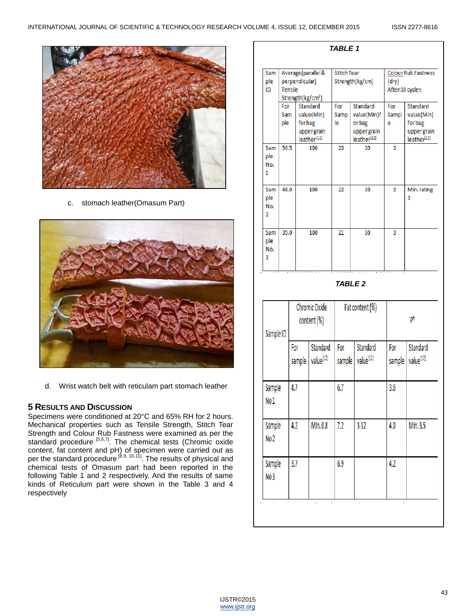

c. stomach leather(Omasum Part)



d. Wrist watch belt with reticulam part stomach leather

# **5 RESULTS AND DISCUSSION**

Specimens were conditioned at 20°C and 65% RH for 2 hours. Mechanical properties such as Tensile Strength, Stitch Tear Strength and Colour Rub Fastness were examined as per the standard procedure <sup>[5,6,7]</sup>. The chemical tests (Chromic oxide content, fat content and pH) of specimen were carried out as per the standard procedure <sup>[8,9, 10,11</sup>]. The results of physical and chemical tests of Omasum part had been reported in the following Table 1 and 2 respectively. And the results of same kinds of Reticulum part were shown in the Table 3 and 4 respectively

| Sam<br>ple<br>ID          | Average (parallel &<br>perpendicular)<br>Tensile<br>Strength(kg/cm <sup>2</sup> ) |                                 |                                                                  | <b>Stitch Tear</b> | Strength(kg/cm)                                                           | Colour Rub Fastness<br>(dry)<br>After 50 cycles |                                                               |
|---------------------------|-----------------------------------------------------------------------------------|---------------------------------|------------------------------------------------------------------|--------------------|---------------------------------------------------------------------------|-------------------------------------------------|---------------------------------------------------------------|
|                           | For<br>Sam<br>ple                                                                 | forbag                          | Standard<br>value(Min)<br>upper grain<br>leather <sup>[12]</sup> | For<br>Samp<br>le  | Standard<br>value(Min)f<br>orbag<br>uppergrain<br>leather <sup>[12]</sup> | For<br>Sampl<br>e                               | Standard<br>value(Min)<br>forbag<br>uppergrain<br>leather[13] |
| Sam<br>ple<br>No.<br>1    | 50.5                                                                              |                                 | 100                                                              |                    | 30                                                                        | 3                                               |                                                               |
| Sam<br>ple<br>No.<br>2    | 48.0                                                                              |                                 | 100                                                              | 22                 | 30                                                                        | 3                                               | Min. rating<br>3                                              |
| Sam<br>ple<br>No.<br>3    | 35.0                                                                              |                                 | 100                                                              |                    | 30                                                                        | 3                                               |                                                               |
|                           |                                                                                   |                                 |                                                                  |                    | <b>TABLE 2</b>                                                            |                                                 |                                                               |
| Sample ID                 |                                                                                   | Chromic Oxide<br>$content (\%)$ |                                                                  | Fat content (%)    |                                                                           | pH                                              |                                                               |
|                           |                                                                                   | For<br>sample                   | Standard<br>value <sup>[12]</sup>                                | For<br>sample      | <b>Standard</b><br>value <sup>[12]</sup>                                  | For<br>sample                                   | Standard<br>value <sup>[12]</sup>                             |
| Sample<br>No <sub>1</sub> |                                                                                   | 4.7                             |                                                                  | 6.7                |                                                                           | 3.6                                             |                                                               |
| Sample<br>No <sub>2</sub> |                                                                                   | 4.2                             | Min.0.8                                                          | 7.2                | $3-12$                                                                    | 4.0                                             | Min.3.5                                                       |
| Sample<br>No <sub>3</sub> |                                                                                   | 3.7                             |                                                                  | 6,9                |                                                                           | 4.2                                             |                                                               |